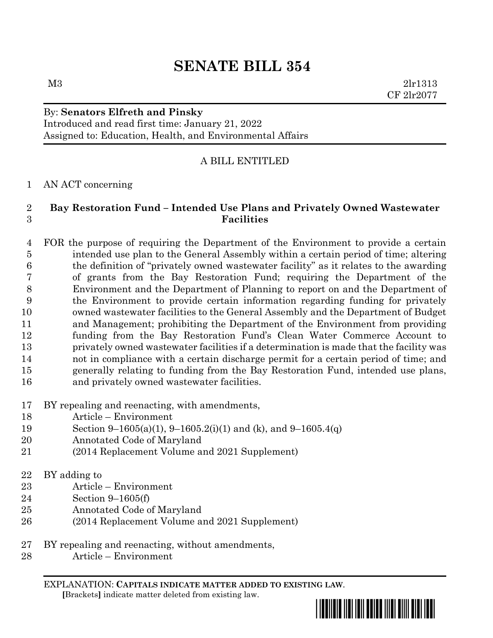# **SENATE BILL 354**

M3 2lr1313 CF 2lr2077

## By: **Senators Elfreth and Pinsky**

Introduced and read first time: January 21, 2022 Assigned to: Education, Health, and Environmental Affairs

## A BILL ENTITLED

## AN ACT concerning

#### **Bay Restoration Fund – Intended Use Plans and Privately Owned Wastewater Facilities**

 FOR the purpose of requiring the Department of the Environment to provide a certain intended use plan to the General Assembly within a certain period of time; altering the definition of "privately owned wastewater facility" as it relates to the awarding of grants from the Bay Restoration Fund; requiring the Department of the Environment and the Department of Planning to report on and the Department of the Environment to provide certain information regarding funding for privately owned wastewater facilities to the General Assembly and the Department of Budget and Management; prohibiting the Department of the Environment from providing funding from the Bay Restoration Fund's Clean Water Commerce Account to privately owned wastewater facilities if a determination is made that the facility was not in compliance with a certain discharge permit for a certain period of time; and generally relating to funding from the Bay Restoration Fund, intended use plans, and privately owned wastewater facilities.

## BY repealing and reenacting, with amendments,

- Article Environment
- Section 9–1605(a)(1), 9–1605.2(i)(1) and (k), and 9–1605.4(q)
- Annotated Code of Maryland
- (2014 Replacement Volume and 2021 Supplement)

## BY adding to

- Article Environment
- Section 9–1605(f)
- Annotated Code of Maryland
- (2014 Replacement Volume and 2021 Supplement)
- BY repealing and reenacting, without amendments,
- Article Environment

EXPLANATION: **CAPITALS INDICATE MATTER ADDED TO EXISTING LAW**.  **[**Brackets**]** indicate matter deleted from existing law.

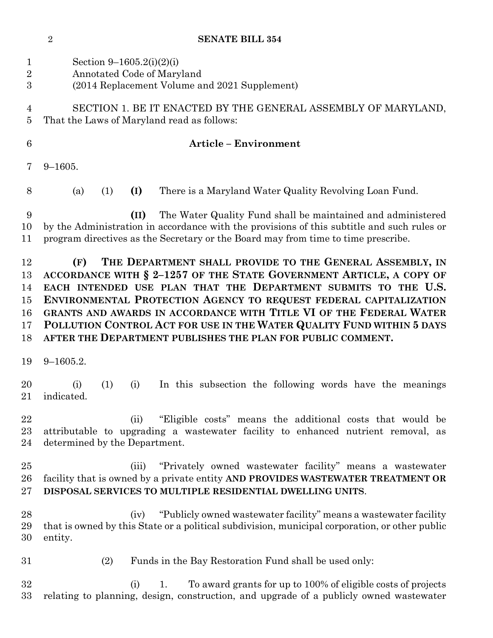**SENATE BILL 354**

 Section 9–1605.2(i)(2)(i) Annotated Code of Maryland (2014 Replacement Volume and 2021 Supplement) SECTION 1. BE IT ENACTED BY THE GENERAL ASSEMBLY OF MARYLAND, That the Laws of Maryland read as follows: **Article – Environment** 9–1605. (a) (1) **(I)** There is a Maryland Water Quality Revolving Loan Fund. **(II)** The Water Quality Fund shall be maintained and administered by the Administration in accordance with the provisions of this subtitle and such rules or program directives as the Secretary or the Board may from time to time prescribe. **(F) THE DEPARTMENT SHALL PROVIDE TO THE GENERAL ASSEMBLY, IN ACCORDANCE WITH § 2–1257 OF THE STATE GOVERNMENT ARTICLE, A COPY OF EACH INTENDED USE PLAN THAT THE DEPARTMENT SUBMITS TO THE U.S. ENVIRONMENTAL PROTECTION AGENCY TO REQUEST FEDERAL CAPITALIZATION GRANTS AND AWARDS IN ACCORDANCE WITH TITLE VI OF THE FEDERAL WATER POLLUTION CONTROL ACT FOR USE IN THE WATER QUALITY FUND WITHIN 5 DAYS AFTER THE DEPARTMENT PUBLISHES THE PLAN FOR PUBLIC COMMENT.** 9–1605.2. (i) (1) (i) In this subsection the following words have the meanings indicated. (ii) "Eligible costs" means the additional costs that would be attributable to upgrading a wastewater facility to enhanced nutrient removal, as determined by the Department. (iii) "Privately owned wastewater facility" means a wastewater facility that is owned by a private entity **AND PROVIDES WASTEWATER TREATMENT OR DISPOSAL SERVICES TO MULTIPLE RESIDENTIAL DWELLING UNITS**. (iv) "Publicly owned wastewater facility" means a wastewater facility that is owned by this State or a political subdivision, municipal corporation, or other public entity. (2) Funds in the Bay Restoration Fund shall be used only: (i) 1. To award grants for up to 100% of eligible costs of projects relating to planning, design, construction, and upgrade of a publicly owned wastewater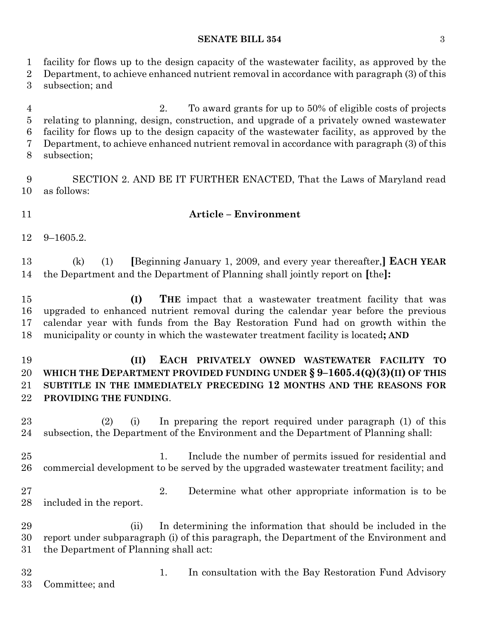#### **SENATE BILL 354** 3

 facility for flows up to the design capacity of the wastewater facility, as approved by the Department, to achieve enhanced nutrient removal in accordance with paragraph (3) of this

subsection; and

 2. To award grants for up to 50% of eligible costs of projects relating to planning, design, construction, and upgrade of a privately owned wastewater facility for flows up to the design capacity of the wastewater facility, as approved by the Department, to achieve enhanced nutrient removal in accordance with paragraph (3) of this subsection;

 SECTION 2. AND BE IT FURTHER ENACTED, That the Laws of Maryland read as follows:

#### **Article – Environment**

9–1605.2.

 (k) (1) **[**Beginning January 1, 2009, and every year thereafter,**] EACH YEAR** the Department and the Department of Planning shall jointly report on **[**the**]:**

 **(I) THE** impact that a wastewater treatment facility that was upgraded to enhanced nutrient removal during the calendar year before the previous calendar year with funds from the Bay Restoration Fund had on growth within the municipality or county in which the wastewater treatment facility is located**; AND**

## **(II) EACH PRIVATELY OWNED WASTEWATER FACILITY TO WHICH THE DEPARTMENT PROVIDED FUNDING UNDER § 9–1605.4(Q)(3)(II) OF THIS SUBTITLE IN THE IMMEDIATELY PRECEDING 12 MONTHS AND THE REASONS FOR PROVIDING THE FUNDING**.

 (2) (i) In preparing the report required under paragraph (1) of this subsection, the Department of the Environment and the Department of Planning shall:

25 1. Include the number of permits issued for residential and commercial development to be served by the upgraded wastewater treatment facility; and

 2. Determine what other appropriate information is to be included in the report.

 (ii) In determining the information that should be included in the report under subparagraph (i) of this paragraph, the Department of the Environment and the Department of Planning shall act:

 1. In consultation with the Bay Restoration Fund Advisory Committee; and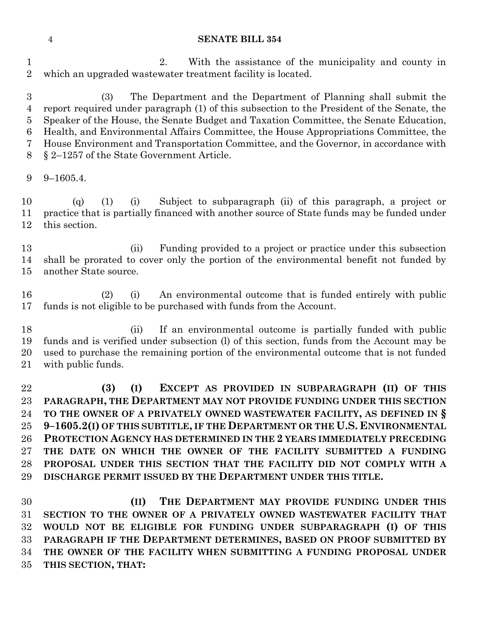#### **SENATE BILL 354**

 2. With the assistance of the municipality and county in which an upgraded wastewater treatment facility is located.

 (3) The Department and the Department of Planning shall submit the report required under paragraph (1) of this subsection to the President of the Senate, the Speaker of the House, the Senate Budget and Taxation Committee, the Senate Education, Health, and Environmental Affairs Committee, the House Appropriations Committee, the House Environment and Transportation Committee, and the Governor, in accordance with § 2–1257 of the State Government Article.

9–1605.4.

 (q) (1) (i) Subject to subparagraph (ii) of this paragraph, a project or practice that is partially financed with another source of State funds may be funded under this section.

 (ii) Funding provided to a project or practice under this subsection shall be prorated to cover only the portion of the environmental benefit not funded by another State source.

 (2) (i) An environmental outcome that is funded entirely with public funds is not eligible to be purchased with funds from the Account.

 (ii) If an environmental outcome is partially funded with public funds and is verified under subsection (l) of this section, funds from the Account may be used to purchase the remaining portion of the environmental outcome that is not funded with public funds.

 **(3) (I) EXCEPT AS PROVIDED IN SUBPARAGRAPH (II) OF THIS PARAGRAPH, THE DEPARTMENT MAY NOT PROVIDE FUNDING UNDER THIS SECTION TO THE OWNER OF A PRIVATELY OWNED WASTEWATER FACILITY, AS DEFINED IN § 9–1605.2(I) OF THIS SUBTITLE, IF THE DEPARTMENT OR THE U.S. ENVIRONMENTAL PROTECTION AGENCY HAS DETERMINED IN THE 2 YEARS IMMEDIATELY PRECEDING THE DATE ON WHICH THE OWNER OF THE FACILITY SUBMITTED A FUNDING PROPOSAL UNDER THIS SECTION THAT THE FACILITY DID NOT COMPLY WITH A DISCHARGE PERMIT ISSUED BY THE DEPARTMENT UNDER THIS TITLE.**

 **(II) THE DEPARTMENT MAY PROVIDE FUNDING UNDER THIS SECTION TO THE OWNER OF A PRIVATELY OWNED WASTEWATER FACILITY THAT WOULD NOT BE ELIGIBLE FOR FUNDING UNDER SUBPARAGRAPH (I) OF THIS PARAGRAPH IF THE DEPARTMENT DETERMINES, BASED ON PROOF SUBMITTED BY THE OWNER OF THE FACILITY WHEN SUBMITTING A FUNDING PROPOSAL UNDER THIS SECTION, THAT:**